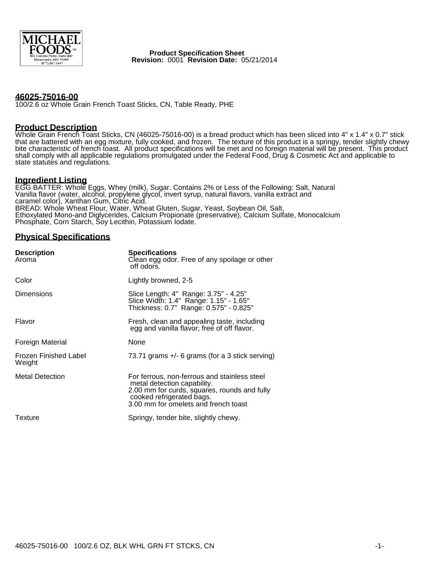

 **Product Specification Sheet Revision:** 0001 **Revision Date:** 05/21/2014

#### **46025-75016-00**

100/2.6 oz Whole Grain French Toast Sticks, CN, Table Ready, PHE

#### **Product Description**

Whole Grain French Toast Sticks, CN (46025-75016-00) is a bread product which has been sliced into 4" x 1.4" x 0.7" stick that are battered with an egg mixture, fully cooked, and frozen. The texture of this product is a springy, tender slightly chewy bite characteristic of french toast. All product specifications will be met and no foreign material will be present. This product shall comply with all applicable regulations promulgated under the Federal Food, Drug & Cosmetic Act and applicable to state statutes and regulations.

## **Ingredient Listing**

EGG BATTER: Whole Eggs, Whey (milk), Sugar. Contains 2% or Less of the Following: Salt, Natural Vanilla flavor (water, alcohol, propylene glycol, invert syrup, natural flavors, vanilla extract and caramel color), Xanthan Gum, Citric Acid. BREAD: Whole Wheat Flour, Water, Wheat Gluten, Sugar, Yeast, Soybean Oil, Salt, Ethoxylated Mono-and Diglycerides, Calcium Propionate (preservative), Calcium Sulfate, Monocalcium Phosphate, Corn Starch, Soy Lecithin, Potassium Iodate.

#### **Physical Specifications**

| <b>Description</b><br>Aroma     | <b>Specifications</b><br>Clean egg odor. Free of any spoilage or other<br>off odors.                                                                                                             |
|---------------------------------|--------------------------------------------------------------------------------------------------------------------------------------------------------------------------------------------------|
| Color                           | Lightly browned, 2-5                                                                                                                                                                             |
| Dimensions                      | Slice Length: 4" Range: 3.75" - 4.25"<br>Slice Width: 1.4" Range: 1.15" - 1.65"<br>Thickness: 0.7" Range: 0.575" - 0.825"                                                                        |
| Flavor                          | Fresh, clean and appealing taste, including<br>egg and vanilla flavor; free of off flavor.                                                                                                       |
| Foreign Material                | None                                                                                                                                                                                             |
| Frozen Finished Label<br>Weight | 73.71 grams +/- 6 grams (for a 3 stick serving)                                                                                                                                                  |
| <b>Metal Detection</b>          | For ferrous, non-ferrous and stainless steel<br>metal detection capability.<br>2.00 mm for curds, squares, rounds and fully<br>cooked refrigerated bags.<br>3.00 mm for omelets and french toast |
| Texture                         | Springy, tender bite, slightly chewy.                                                                                                                                                            |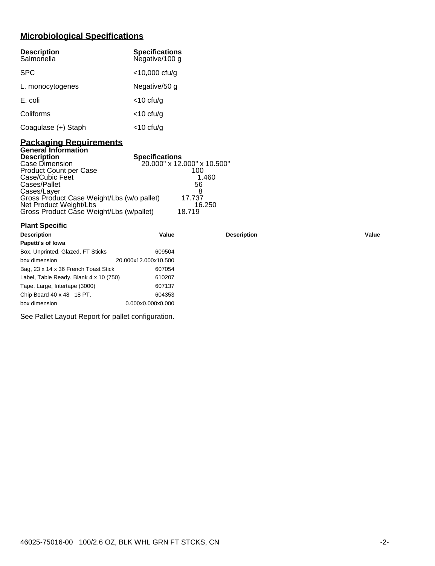# **Microbiological Specifications**

| <b>Description</b><br>Salmonella | <b>Specifications</b><br>Negative/100 g |
|----------------------------------|-----------------------------------------|
| <b>SPC</b>                       | $<$ 10,000 cfu/g                        |
| L. monocytogenes                 | Negative/50 g                           |
| E. coli                          | $<$ 10 cfu/g                            |
| Coliforms                        | $<$ 10 cfu/g                            |
| Coagulase (+) Staph              | <10 cfu/g                               |

#### **Packaging Requirements General Information**

| <b>Description</b>                         | <b>Specifications</b>       |
|--------------------------------------------|-----------------------------|
| Case Dimension                             | 20.000" x 12.000" x 10.500" |
| <b>Product Count per Case</b>              | 100                         |
| Case/Cubic Feet                            | 1.460                       |
| Cases/Pallet                               | 56                          |
| Cases/Layer                                |                             |
| Gross Product Case Weight/Lbs (w/o pallet) | 17.737                      |
| Net Product Weight/Lbs                     | 16.250                      |
| Gross Product Case Weight/Lbs (w/pallet)   | 18.719                      |

| <b>Plant Specific</b>                  |                      |                    |       |
|----------------------------------------|----------------------|--------------------|-------|
| <b>Description</b>                     | Value                | <b>Description</b> | Value |
| Papetti's of Iowa                      |                      |                    |       |
| Box, Unprinted, Glazed, FT Sticks      | 609504               |                    |       |
| box dimension                          | 20.000x12.000x10.500 |                    |       |
| Bag, 23 x 14 x 36 French Toast Stick   | 607054               |                    |       |
| Label, Table Ready, Blank 4 x 10 (750) | 610207               |                    |       |
| Tape, Large, Intertape (3000)          | 607137               |                    |       |
| Chip Board 40 x 48 18 PT.              | 604353               |                    |       |
| box dimension                          | 0.000x0.000x0.000    |                    |       |

See Pallet Layout Report for pallet configuration.